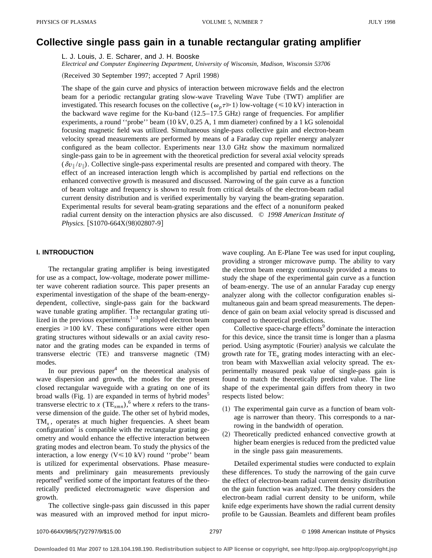# **Collective single pass gain in a tunable rectangular grating amplifier**

L. J. Louis, J. E. Scharer, and J. H. Booske

*Electrical and Computer Engineering Department, University of Wisconsin, Madison, Wisconsin 53706*

(Received 30 September 1997; accepted 7 April 1998)

The shape of the gain curve and physics of interaction between microwave fields and the electron beam for a periodic rectangular grating slow-wave Traveling Wave Tube (TWT) amplifier are investigated. This research focuses on the collective ( $\omega_n \tau \gg 1$ ) low-voltage ( $\leq 10 \text{ kV}$ ) interaction in the backward wave regime for the Ku-band  $(12.5-17.5 \text{ GHz})$  range of frequencies. For amplifier experiments, a round "probe" beam  $(10 \text{ kV}, 0.25 \text{ A}, 1 \text{ mm diameter})$  confined by a 1 kG solenoidal focusing magnetic field was utilized. Simultaneous single-pass collective gain and electron-beam velocity spread measurements are performed by means of a Faraday cup repeller energy analyzer configured as the beam collector. Experiments near 13.0 GHz show the maximum normalized single-pass gain to be in agreement with the theoretical prediction for several axial velocity spreads  $(\delta v_{\parallel}/v_{\parallel})$ . Collective single-pass experimental results are presented and compared with theory. The effect of an increased interaction length which is accomplished by partial end reflections on the enhanced convective growth is measured and discussed. Narrowing of the gain curve as a function of beam voltage and frequency is shown to result from critical details of the electron-beam radial current density distribution and is verified experimentally by varying the beam-grating separation. Experimental results for several beam-grating separations and the effect of a nonuniform peaked radial current density on the interaction physics are also discussed. © *1998 American Institute of Physics.* [S1070-664X(98)02807-9]

### **I. INTRODUCTION**

The rectangular grating amplifier is being investigated for use as a compact, low-voltage, moderate power millimeter wave coherent radiation source. This paper presents an experimental investigation of the shape of the beam-energydependent, collective, single-pass gain for the backward wave tunable grating amplifier. The rectangular grating utilized in the previous experiments<sup>1-3</sup> employed electron beam energies  $\geq 100$  kV. These configurations were either open grating structures without sidewalls or an axial cavity resonator and the grating modes can be expanded in terms of transverse electric (TE) and transverse magnetic (TM) modes.

In our previous paper<sup>4</sup> on the theoretical analysis of wave dispersion and growth, the modes for the present closed rectangular waveguide with a grating on one of its broad walls (Fig. 1) are expanded in terms of hybrid modes<sup>5</sup> transverse electric to *x* (TE<sub>*xmn*</sub>),<sup>6</sup> where *x* refers to the transverse dimension of the guide. The other set of hybrid modes, TM<sub>x</sub>, operates at much higher frequencies. A sheet beam configuration<sup>7</sup> is compatible with the rectangular grating geometry and would enhance the effective interaction between grating modes and electron beam. To study the physics of the interaction, a low energy  $(V \le 10 \text{ kV})$  round "probe" beam is utilized for experimental observations. Phase measurements and preliminary gain measurements previously reported<sup>8</sup> verified some of the important features of the theoretically predicted electromagnetic wave dispersion and growth.

The collective single-pass gain discussed in this paper was measured with an improved method for input microwave coupling. An E-Plane Tee was used for input coupling, providing a stronger microwave pump. The ability to vary the electron beam energy continuously provided a means to study the shape of the experimental gain curve as a function of beam-energy. The use of an annular Faraday cup energy analyzer along with the collector configuration enables simultaneous gain and beam spread measurements. The dependence of gain on beam axial velocity spread is discussed and compared to theoretical predictions.

Collective space-charge effects<sup>9</sup> dominate the interaction for this device, since the transit time is longer than a plasma period. Using asymptotic (Fourier) analysis we calculate the growth rate for TE*<sup>x</sup>* grating modes interacting with an electron beam with Maxwellian axial velocity spread. The experimentally measured peak value of single-pass gain is found to match the theoretically predicted value. The line shape of the experimental gain differs from theory in two respects listed below:

- $(1)$  The experimental gain curve as a function of beam voltage is narrower than theory. This corresponds to a narrowing in the bandwidth of operation.
- (2) Theoretically predicted enhanced convective growth at higher beam energies is reduced from the predicted value in the single pass gain measurements.

Detailed experimental studies were conducted to explain these differences. To study the narrowing of the gain curve the effect of electron-beam radial current density distribution on the gain function was analyzed. The theory considers the electron-beam radial current density to be uniform, while knife edge experiments have shown the radial current density profile to be Gaussian. Beamlets and different beam profiles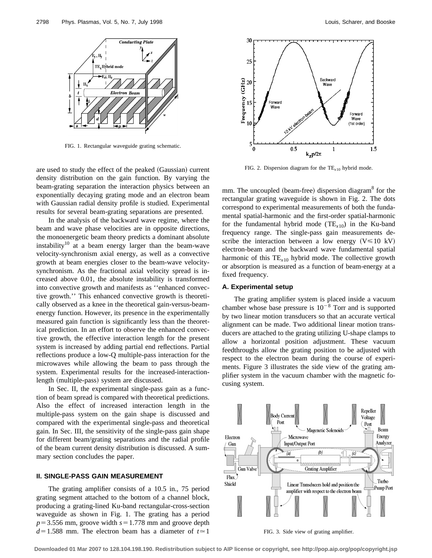

FIG. 1. Rectangular waveguide grating schematic.

are used to study the effect of the peaked (Gaussian) current density distribution on the gain function. By varying the beam-grating separation the interaction physics between an exponentially decaying grating mode and an electron beam with Gaussian radial density profile is studied. Experimental results for several beam-grating separations are presented.

In the analysis of the backward wave regime, where the beam and wave phase velocities are in opposite directions, the monoenergetic beam theory predicts a dominant absolute instability<sup>10</sup> at a beam energy larger than the beam-wave velocity-synchronism axial energy, as well as a convective growth at beam energies closer to the beam-wave velocitysynchronism. As the fractional axial velocity spread is increased above 0.01, the absolute instability is transformed into convective growth and manifests as ''enhanced convective growth.'' This enhanced convective growth is theoretically observed as a knee in the theoretical gain-versus-beamenergy function. However, its presence in the experimentally measured gain function is significantly less than the theoretical prediction. In an effort to observe the enhanced convective growth, the effective interaction length for the present system is increased by adding partial end reflections. Partial reflections produce a low-Q multiple-pass interaction for the microwaves while allowing the beam to pass through the system. Experimental results for the increased-interactionlength (multiple-pass) system are discussed.

In Sec. II, the experimental single-pass gain as a function of beam spread is compared with theoretical predictions. Also the effect of increased interaction length in the multiple-pass system on the gain shape is discussed and compared with the experimental single-pass and theoretical gain. In Sec. III, the sensitivity of the single-pass gain shape for different beam/grating separations and the radial profile of the beam current density distribution is discussed. A summary section concludes the paper.

#### **II. SINGLE-PASS GAIN MEASUREMENT**

The grating amplifier consists of a 10.5 in., 75 period grating segment attached to the bottom of a channel block, producing a grating-lined Ku-band rectangular-cross-section waveguide as shown in Fig. 1. The grating has a period  $p=3.556$  mm, groove width  $s=1.778$  mm and groove depth  $d=1.588$  mm. The electron beam has a diameter of  $t \approx 1$ 



FIG. 2. Dispersion diagram for the  $TE<sub>x10</sub>$  hybrid mode.

mm. The uncoupled (beam-free) dispersion diagram $8$  for the rectangular grating waveguide is shown in Fig. 2. The dots correspond to experimental measurements of both the fundamental spatial-harmonic and the first-order spatial-harmonic for the fundamental hybrid mode  $(TE<sub>x10</sub>)$  in the Ku-band frequency range. The single-pass gain measurements describe the interaction between a low energy  $(V \le 10 \text{ kV})$ electron-beam and the backward wave fundamental spatial harmonic of this  $TE_{x10}$  hybrid mode. The collective growth or absorption is measured as a function of beam-energy at a fixed frequency.

### **A. Experimental setup**

The grating amplifier system is placed inside a vacuum chamber whose base pressure is  $10^{-8}$  Torr and is supported by two linear motion transducers so that an accurate vertical alignment can be made. Two additional linear motion transducers are attached to the grating utilizing U-shape clamps to allow a horizontal position adjustment. These vacuum feedthroughs allow the grating position to be adjusted with respect to the electron beam during the course of experiments. Figure 3 illustrates the side view of the grating amplifier system in the vacuum chamber with the magnetic focusing system.



FIG. 3. Side view of grating amplifier.

**Downloaded 01 Mar 2007 to 128.104.198.190. Redistribution subject to AIP license or copyright, see http://pop.aip.org/pop/copyright.jsp**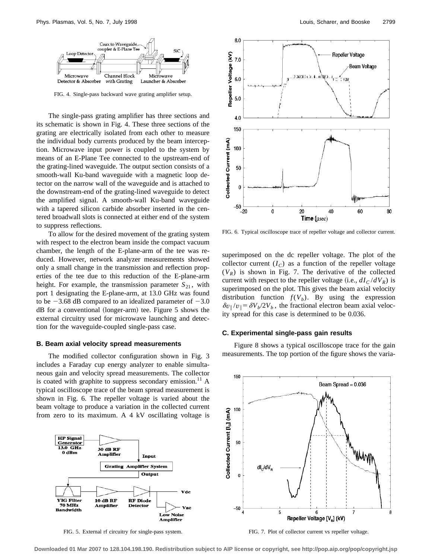

FIG. 4. Single-pass backward wave grating amplifier setup.

The single-pass grating amplifier has three sections and its schematic is shown in Fig. 4. These three sections of the grating are electrically isolated from each other to measure the individual body currents produced by the beam interception. Microwave input power is coupled to the system by means of an E-Plane Tee connected to the upstream-end of the grating-lined waveguide. The output section consists of a smooth-wall Ku-band waveguide with a magnetic loop detector on the narrow wall of the waveguide and is attached to the downstream-end of the grating-lined waveguide to detect the amplified signal. A smooth-wall Ku-band waveguide with a tapered silicon carbide absorber inserted in the centered broadwall slots is connected at either end of the system to suppress reflections.

To allow for the desired movement of the grating system with respect to the electron beam inside the compact vacuum chamber, the length of the E-plane-arm of the tee was reduced. However, network analyzer measurements showed only a small change in the transmission and reflection properties of the tee due to this reduction of the E-plane-arm height. For example, the transmission parameter  $S_{21}$ , with port 1 designating the E-plane-arm, at 13.0 GHz was found to be  $-3.68$  dB compared to an idealized parameter of  $-3.0$  $dB$  for a conventional (longer-arm) tee. Figure 5 shows the external circuitry used for microwave launching and detection for the waveguide-coupled single-pass case.

#### **B. Beam axial velocity spread measurements**

The modified collector configuration shown in Fig. 3 includes a Faraday cup energy analyzer to enable simultaneous gain and velocity spread measurements. The collector is coated with graphite to suppress secondary emission.<sup>11</sup> A typical oscilloscope trace of the beam spread measurement is shown in Fig. 6. The repeller voltage is varied about the beam voltage to produce a variation in the collected current from zero to its maximum. A 4 kV oscillating voltage is



FIG. 5. External rf circuitry for single-pass system.



FIG. 6. Typical oscilloscope trace of repeller voltage and collector current.

superimposed on the dc repeller voltage. The plot of the collector current  $(I_C)$  as a function of the repeller voltage  $(V_R)$  is shown in Fig. 7. The derivative of the collected current with respect to the repeller voltage (i.e.,  $dI_C / dV_R$ ) is superimposed on the plot. This gives the beam axial velocity distribution function  $f(V_b)$ . By using the expression  $\delta v_{\parallel}/v_{\parallel} = \delta V_b/2V_b$ , the fractional electron beam axial velocity spread for this case is determined to be 0.036.

#### **C. Experimental single-pass gain results**

Figure 8 shows a typical oscilloscope trace for the gain measurements. The top portion of the figure shows the varia-



FIG. 7. Plot of collector current vs repeller voltage.

**Downloaded 01 Mar 2007 to 128.104.198.190. Redistribution subject to AIP license or copyright, see http://pop.aip.org/pop/copyright.jsp**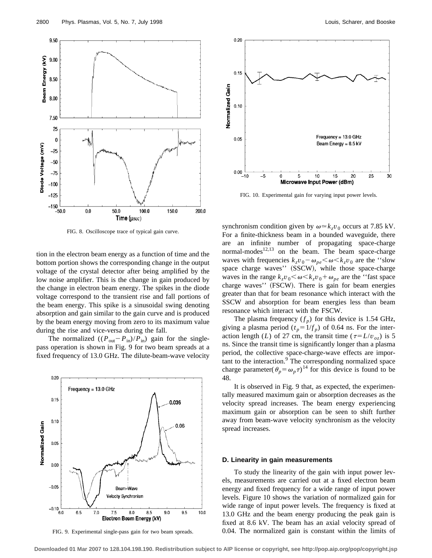



FIG. 8. Oscilloscope trace of typical gain curve.

tion in the electron beam energy as a function of time and the bottom portion shows the corresponding change in the output voltage of the crystal detector after being amplified by the low noise amplifier. This is the change in gain produced by the change in electron beam energy. The spikes in the diode voltage correspond to the transient rise and fall portions of the beam energy. This spike is a sinusoidal swing denoting absorption and gain similar to the gain curve and is produced by the beam energy moving from zero to its maximum value during the rise and vice-versa during the fall.

The normalized  $((P_{\text{out}}-P_{\text{in}})/P_{\text{in}})$  gain for the singlepass operation is shown in Fig. 9 for two beam spreads at a fixed frequency of 13.0 GHz. The dilute-beam-wave velocity



FIG. 9. Experimental single-pass gain for two beam spreads.



FIG. 10. Experimental gain for varying input power levels.

synchronism condition given by  $\omega \approx k_z v_0$  occurs at 7.85 kV. For a finite-thickness beam in a bounded waveguide, there are an infinite number of propagating space-charge normal-modes<sup>12,13</sup> on the beam. The beam space-charge waves with frequencies  $k_zv_0 - \omega_{pe} \le \omega \le k_zv_0$  are the "slow space charge waves''  $(SSCW)$ , while those space-charge waves in the range  $k_zv_0 \leq \omega \leq k_zv_0 + \omega_{pe}$  are the "fast space" charge waves" (FSCW). There is gain for beam energies greater than that for beam resonance which interact with the SSCW and absorption for beam energies less than beam resonance which interact with the FSCW.

The plasma frequency  $(f_n)$  for this device is 1.54 GHz, giving a plasma period  $(t_p = 1/f_p)$  of 0.64 ns. For the interaction length (*L*) of 27 cm, the transit time ( $\tau = L/v_{oz}$ ) is 5 ns. Since the transit time is significantly longer than a plasma period, the collective space-charge-wave effects are important to the interaction.<sup>9</sup> The corresponding normalized space charge parameter( $\theta_p = \omega_p \tau$ )<sup>14</sup> for this device is found to be 48.

It is observed in Fig. 9 that, as expected, the experimentally measured maximum gain or absorption decreases as the velocity spread increases. The beam energy experiencing maximum gain or absorption can be seen to shift further away from beam-wave velocity synchronism as the velocity spread increases.

#### **D. Linearity in gain measurements**

To study the linearity of the gain with input power levels, measurements are carried out at a fixed electron beam energy and fixed frequency for a wide range of input power levels. Figure 10 shows the variation of normalized gain for wide range of input power levels. The frequency is fixed at 13.0 GHz and the beam energy producing the peak gain is fixed at 8.6 kV. The beam has an axial velocity spread of 0.04. The normalized gain is constant within the limits of

**Downloaded 01 Mar 2007 to 128.104.198.190. Redistribution subject to AIP license or copyright, see http://pop.aip.org/pop/copyright.jsp**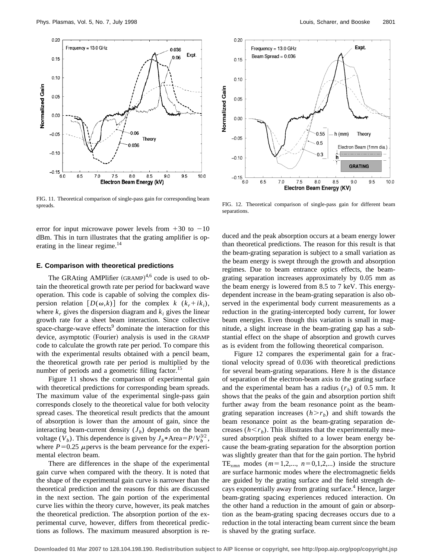

FIG. 11. Theoretical comparison of single-pass gain for corresponding beam spreads. Theoretical comparison of single-pass gain for different beam preads.

error for input microwave power levels from  $+30$  to  $-10$ dBm. This in turn illustrates that the grating amplifier is operating in the linear regime.<sup>14</sup>

#### **E. Comparison with theoretical predictions**

The GRAting AMPlifier  $(GRAMP)^{4,6}$  code is used to obtain the theoretical growth rate per period for backward wave operation. This code is capable of solving the complex dispersion relation  $[D(\omega, k)]$  for the complex  $k (k_r + ik_i)$ , where  $k_r$  gives the dispersion diagram and  $k_i$  gives the linear growth rate for a sheet beam interaction. Since collective space-charge-wave effects<sup>9</sup> dominate the interaction for this device, asymptotic (Fourier) analysis is used in the GRAMP code to calculate the growth rate per period. To compare this with the experimental results obtained with a pencil beam, the theoretical growth rate per period is multiplied by the number of periods and a geometric filling factor.<sup>15</sup>

Figure 11 shows the comparison of experimental gain with theoretical predictions for corresponding beam spreads. The maximum value of the experimental single-pass gain corresponds closely to the theoretical value for both velocity spread cases. The theoretical result predicts that the amount of absorption is lower than the amount of gain, since the interacting beam-current density  $(J_b)$  depends on the beam voltage (*V<sub>b</sub>*). This dependence is given by  $J_b * \text{Area}=P/V_b^{3/2}$ , where  $P=0.25$  *µ* pervs is the beam perveance for the experimental electron beam.

There are differences in the shape of the experimental gain curve when compared with the theory. It is noted that the shape of the experimental gain curve is narrower than the theoretical prediction and the reasons for this are discussed in the next section. The gain portion of the experimental curve lies within the theory curve, however, its peak matches the theoretical prediction. The absorption portion of the experimental curve, however, differs from theoretical predictions as follows. The maximum measured absorption is re-



separations.

duced and the peak absorption occurs at a beam energy lower than theoretical predictions. The reason for this result is that the beam-grating separation is subject to a small variation as the beam energy is swept through the growth and absorption regimes. Due to beam entrance optics effects, the beamgrating separation increases approximately by 0.05 mm as the beam energy is lowered from 8.5 to 7 keV. This energydependent increase in the beam-grating separation is also observed in the experimental body current measurements as a reduction in the grating-intercepted body current, for lower beam energies. Even though this variation is small in magnitude, a slight increase in the beam-grating gap has a substantial effect on the shape of absorption and growth curves as is evident from the following theoretical comparison.

Figure 12 compares the experimental gain for a fractional velocity spread of 0.036 with theoretical predictions for several beam-grating separations. Here *h* is the distance of separation of the electron-beam axis to the grating surface and the experimental beam has a radius  $(r_b)$  of 0.5 mm. It shows that the peaks of the gain and absorption portion shift further away from the beam resonance point as the beamgrating separation increases  $(h > r_b)$  and shift towards the beam resonance point as the beam-grating separation decreases  $(h \le r_b)$ . This illustrates that the experimentally measured absorption peak shifted to a lower beam energy because the beam-grating separation for the absorption portion was slightly greater than that for the gain portion. The hybrid TE<sub>*xmn*</sub> modes ( $m=1,2,..., n=0,1,2,...$ ) inside the structure are surface harmonic modes where the electromagnetic fields are guided by the grating surface and the field strength decays exponentially away from grating surface.<sup>4</sup> Hence, larger beam-grating spacing experiences reduced interaction. On the other hand a reduction in the amount of gain or absorption as the beam-grating spacing decreases occurs due to a reduction in the total interacting beam current since the beam is shaved by the grating surface.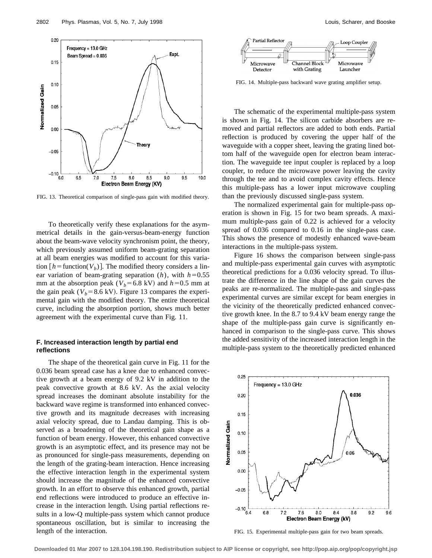

FIG. 13. Theoretical comparison of single-pass gain with modified theory.

To theoretically verify these explanations for the asymmetrical details in the gain-versus-beam-energy function about the beam-wave velocity synchronism point, the theory, which previously assumed uniform beam-grating separation at all beam energies was modified to account for this variation  $[h = function(V_b)]$ . The modified theory considers a linear variation of beam-grating separation  $(h)$ , with  $h=0.55$ mm at the absorption peak ( $V_b$ =6.8 kV) and *h*=0.5 mm at the gain peak ( $V_b$ =8.6 kV). Figure 13 compares the experimental gain with the modified theory. The entire theoretical curve, including the absorption portion, shows much better agreement with the experimental curve than Fig. 11.

## **F. Increased interaction length by partial end reflections**

The shape of the theoretical gain curve in Fig. 11 for the 0.036 beam spread case has a knee due to enhanced convective growth at a beam energy of 9.2 kV in addition to the peak convective growth at 8.6 kV. As the axial velocity spread increases the dominant absolute instability for the backward wave regime is transformed into enhanced convective growth and its magnitude decreases with increasing axial velocity spread, due to Landau damping. This is observed as a broadening of the theoretical gain shape as a function of beam energy. However, this enhanced convective growth is an asymptotic effect, and its presence may not be as pronounced for single-pass measurements, depending on the length of the grating-beam interaction. Hence increasing the effective interaction length in the experimental system should increase the magnitude of the enhanced convective growth. In an effort to observe this enhanced growth, partial end reflections were introduced to produce an effective increase in the interaction length. Using partial reflections results in a low-Q multiple-pass system which cannot produce spontaneous oscillation, but is similar to increasing the length of the interaction.



FIG. 14. Multiple-pass backward wave grating amplifier setup.

The schematic of the experimental multiple-pass system is shown in Fig. 14. The silicon carbide absorbers are removed and partial reflectors are added to both ends. Partial reflection is produced by covering the upper half of the waveguide with a copper sheet, leaving the grating lined bottom half of the waveguide open for electron beam interaction. The waveguide tee input coupler is replaced by a loop coupler, to reduce the microwave power leaving the cavity through the tee and to avoid complex cavity effects. Hence this multiple-pass has a lower input microwave coupling than the previously discussed single-pass system.

The normalized experimental gain for multiple-pass operation is shown in Fig. 15 for two beam spreads. A maximum multiple-pass gain of 0.22 is achieved for a velocity spread of 0.036 compared to 0.16 in the single-pass case. This shows the presence of modestly enhanced wave-beam interactions in the multiple-pass system.

Figure 16 shows the comparison between single-pass and multiple-pass experimental gain curves with asymptotic theoretical predictions for a 0.036 velocity spread. To illustrate the difference in the line shape of the gain curves the peaks are re-normalized. The multiple-pass and single-pass experimental curves are similar except for beam energies in the vicinity of the theoretically predicted enhanced convective growth knee. In the 8.7 to 9.4 kV beam energy range the shape of the multiple-pass gain curve is significantly enhanced in comparison to the single-pass curve. This shows the added sensitivity of the increased interaction length in the multiple-pass system to the theoretically predicted enhanced



FIG. 15. Experimental multiple-pass gain for two beam spreads.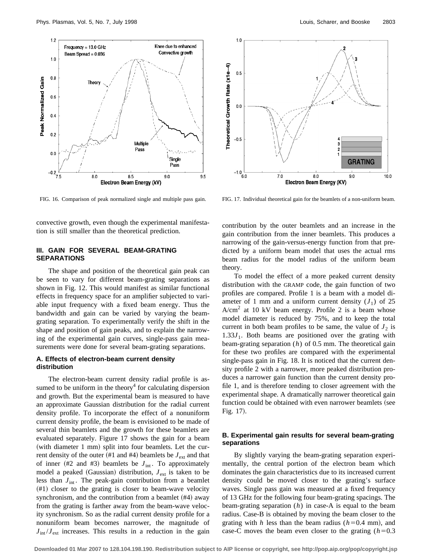



convective growth, even though the experimental manifestation is still smaller than the theoretical prediction.

## **III. GAIN FOR SEVERAL BEAM-GRATING SEPARATIONS**

The shape and position of the theoretical gain peak can be seen to vary for different beam-grating separations as shown in Fig. 12. This would manifest as similar functional effects in frequency space for an amplifier subjected to variable input frequency with a fixed beam energy. Thus the bandwidth and gain can be varied by varying the beamgrating separation. To experimentally verify the shift in the shape and position of gain peaks, and to explain the narrowing of the experimental gain curves, single-pass gain measurements were done for several beam-grating separations.

## **A. Effects of electron-beam current density distribution**

The electron-beam current density radial profile is assumed to be uniform in the theory<sup>4</sup> for calculating dispersion and growth. But the experimental beam is measured to have an approximate Gaussian distribution for the radial current density profile. To incorporate the effect of a nonuniform current density profile, the beam is envisioned to be made of several thin beamlets and the growth for these beamlets are evaluated separately. Figure 17 shows the gain for a beam (with diameter  $1$  mm) split into four beamlets. Let the current density of the outer (#1 and #4) beamlets be  $J_{ext}$  and that of inner  $(H2 \text{ and } H3)$  beamlets be  $J_{int}$ . To approximately model a peaked (Gaussian) distribution,  $J_{ext}$  is taken to be less than  $J_{\text{int}}$ . The peak-gain contribution from a beamlet  $#1)$  closer to the grating is closer to beam-wave velocity synchronism, and the contribution from a beamlet  $#4$ ) away from the grating is farther away from the beam-wave velocity synchronism. So as the radial current density profile for a nonuniform beam becomes narrower, the magnitude of  $J_{int}/J_{ext}$  increases. This results in a reduction in the gain

FIG. 16. Comparison of peak normalized single and multiple pass gain. FIG. 17. Individual theoretical gain for the beamlets of a non-uniform beam.

contribution by the outer beamlets and an increase in the gain contribution from the inner beamlets. This produces a narrowing of the gain-versus-energy function from that predicted by a uniform beam model that uses the actual rms beam radius for the model radius of the uniform beam theory.

To model the effect of a more peaked current density distribution with the GRAMP code, the gain function of two profiles are compared. Profile 1 is a beam with a model diameter of 1 mm and a uniform current density  $(J_1)$  of 25  $A/cm<sup>2</sup>$  at 10 kV beam energy. Profile 2 is a beam whose model diameter is reduced by 75%, and to keep the total current in both beam profiles to be same, the value of  $J_2$  is  $1.33J<sub>1</sub>$ . Both beams are positioned over the grating with beam-grating separation (*h*) of 0.5 mm. The theoretical gain for these two profiles are compared with the experimental single-pass gain in Fig. 18. It is noticed that the current density profile 2 with a narrower, more peaked distribution produces a narrower gain function than the current density profile 1, and is therefore tending to closer agreement with the experimental shape. A dramatically narrower theoretical gain function could be obtained with even narrower beamlets (see Fig. 17).

## **B. Experimental gain results for several beam-grating separations**

By slightly varying the beam-grating separation experimentally, the central portion of the electron beam which dominates the gain characteristics due to its increased current density could be moved closer to the grating's surface waves. Single pass gain was measured at a fixed frequency of 13 GHz for the following four beam-grating spacings. The beam-grating separation (*h*) in case-A is equal to the beam radius. Case-B is obtained by moving the beam closer to the grating with *h* less than the beam radius ( $h$ =0.4 mm), and case-C moves the beam even closer to the grating  $(h=0.3$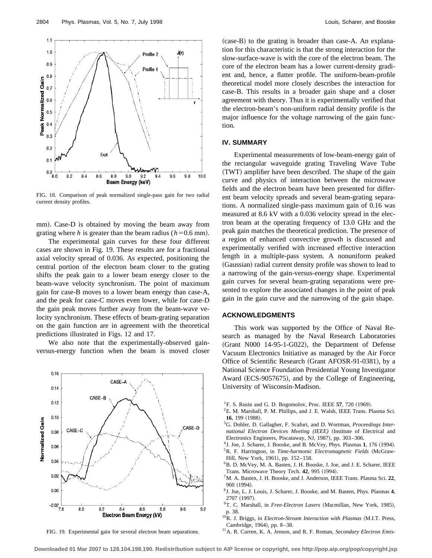

FIG. 18. Comparison of peak normalized single-pass gain for two radial current density profiles.

mm). Case-D is obtained by moving the beam away from grating where *h* is greater than the beam radius ( $h=0.6$  mm).

The experimental gain curves for these four different cases are shown in Fig. 19. These results are for a fractional axial velocity spread of 0.036. As expected, positioning the central portion of the electron beam closer to the grating shifts the peak gain to a lower beam energy closer to the beam-wave velocity synchronism. The point of maximum gain for case-B moves to a lower beam energy than case-A, and the peak for case-C moves even lower, while for case-D the gain peak moves further away from the beam-wave velocity synchronism. These effects of beam-grating separation on the gain function are in agreement with the theoretical predictions illustrated in Figs. 12 and 17.

We also note that the experimentally-observed gainversus-energy function when the beam is moved closer



FIG. 19. Experimental gain for several electron beam separations.

 $(case-B)$  to the grating is broader than case-A. An explanation for this characteristic is that the strong interaction for the slow-surface-wave is with the core of the electron beam. The core of the electron beam has a lower current-density gradient and, hence, a flatter profile. The uniform-beam-profile theoretical model more closely describes the interaction for case-B. This results in a broader gain shape and a closer agreement with theory. Thus it is experimentally verified that the electron-beam's non-uniform radial density profile is the major influence for the voltage narrowing of the gain function.

## **IV. SUMMARY**

Experimental measurements of low-beam-energy gain of the rectangular waveguide grating Traveling Wave Tube (TWT) amplifier have been described. The shape of the gain curve and physics of interaction between the microwave fields and the electron beam have been presented for different beam velocity spreads and several beam-grating separations. A normalized single-pass maximum gain of 0.16 was measured at 8.6 kV with a 0.036 velocity spread in the electron beam at the operating frequency of 13.0 GHz and the peak gain matches the theoretical prediction. The presence of a region of enhanced convective growth is discussed and experimentally verified with increased effective interaction length in a multiple-pass system. A nonuniform peaked (Gaussian) radial current density profile was shown to lead to a narrowing of the gain-versus-energy shape. Experimental gain curves for several beam-grating separations were presented to explore the associated changes in the point of peak gain in the gain curve and the narrowing of the gain shape.

#### **ACKNOWLEDGMENTS**

This work was supported by the Office of Naval Research as managed by the Naval Research Laboratories (Grant N000 14-95-1-G022), the Department of Defense Vacuum Electronics Initiative as managed by the Air Force Office of Scientific Research (Grant AFOSR-91-0381), by a National Science Foundation Presidential Young Investigator Award (ECS-9057675), and by the College of Engineering, University of Wisconsin-Madison.

- <sup>1</sup>F. S. Rusin and G. D. Bogomolov, Proc. IEEE 57, 720  $(1969)$ .
- 2E. M. Marshall, P. M. Phillips, and J. E. Walsh, IEEE Trans. Plasma Sci. **16**, 199 (1988).
- 3G. Dohler, D. Gallagher, F. Scafuri, and D. Wortman, *Proceedings International Electron Devices Meeting (IEEE)* (Institute of Electrical and Electronics Engineers, Piscataway, NJ, 1987), pp. 303-306.
- $4J.$  Joe, J. Scharer, J. Booske, and B. McVey, Phys. Plasmas 1, 176  $(1994)$ . <sup>5</sup>R. F. Harrington, in *Time-harmonic Electromagnetic Fields* (McGraw-Hill, New York, 1961), pp. 152–158.
- 6B. D. McVey, M. A. Basten, J. H. Booske, J. Joe, and J. E. Scharer, IEEE Trans. Microwave Theory Tech. 42, 995 (1994).
- 7M. A. Basten, J. H. Booske, and J. Anderson, IEEE Trans. Plasma Sci. **22**, 960 (1994).
- 8J. Joe, L. J. Louis, J. Scharer, J. Booske, and M. Basten, Phys. Plasmas **4**, 2707 (1997)
- <sup>9</sup>T. C. Marshall, in *Free-Electron Lasers* (Macmillan, New York, 1985), p. 38.
- <sup>10</sup>R. J. Briggs, in *Electron-Stream Interaction with Plasmas* (M.I.T. Press, Cambridge, 1964), pp. 8-38.
- 11A. R. Curren, K. A. Jenson, and R. F. Roman, *Secondary Electron Emis-*

**Downloaded 01 Mar 2007 to 128.104.198.190. Redistribution subject to AIP license or copyright, see http://pop.aip.org/pop/copyright.jsp**